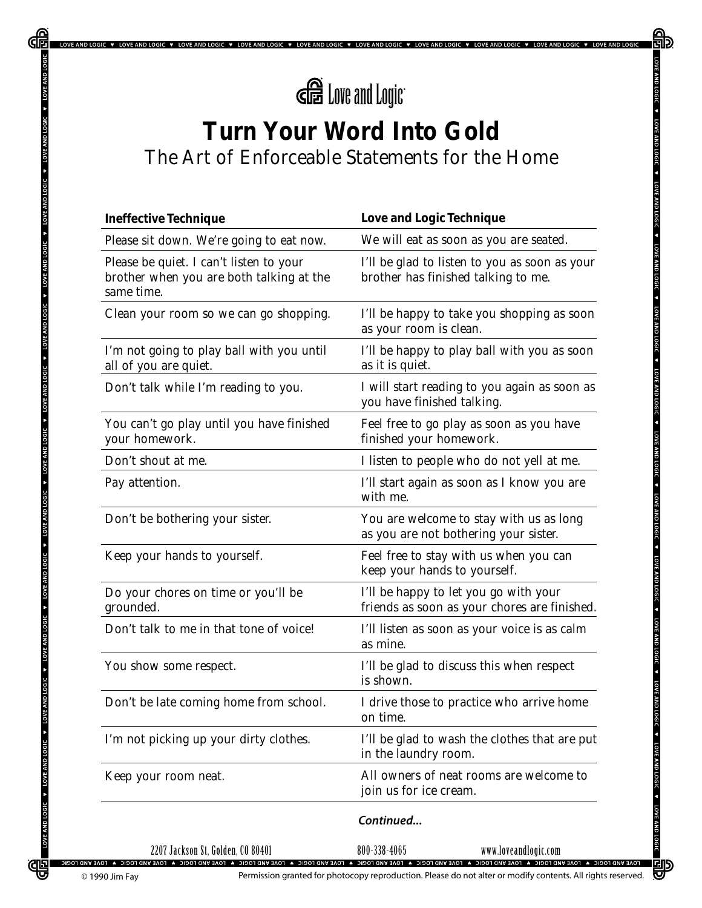

LOVE AND LOGIC ♥ LOVE AND LOGIC ♥ LOVE AND LOGIC ♥ LOVE AND LOGIC ♥ LOVE AND LOGIC ♥ LOVE AND LOGIC

## **Turn Your Word Into Gold** *The Art of Enforceable Statements for the Home*

| <b>Ineffective Technique</b>                                                                      | Love and Logic Technique                                                              |
|---------------------------------------------------------------------------------------------------|---------------------------------------------------------------------------------------|
| Please sit down. We're going to eat now.                                                          | We will eat as soon as you are seated.                                                |
| Please be quiet. I can't listen to your<br>brother when you are both talking at the<br>same time. | I'll be glad to listen to you as soon as your<br>brother has finished talking to me.  |
| Clean your room so we can go shopping.                                                            | I'll be happy to take you shopping as soon<br>as your room is clean.                  |
| I'm not going to play ball with you until<br>all of you are quiet.                                | I'll be happy to play ball with you as soon<br>as it is quiet.                        |
| Don't talk while I'm reading to you.                                                              | I will start reading to you again as soon as<br>you have finished talking.            |
| You can't go play until you have finished<br>your homework.                                       | Feel free to go play as soon as you have<br>finished your homework.                   |
| Don't shout at me.                                                                                | I listen to people who do not yell at me.                                             |
| Pay attention.                                                                                    | I'll start again as soon as I know you are<br>with me.                                |
| Don't be bothering your sister.                                                                   | You are welcome to stay with us as long<br>as you are not bothering your sister.      |
| Keep your hands to yourself.                                                                      | Feel free to stay with us when you can<br>keep your hands to yourself.                |
| Do your chores on time or you'll be<br>grounded.                                                  | I'll be happy to let you go with your<br>friends as soon as your chores are finished. |
| Don't talk to me in that tone of voice!                                                           | I'll listen as soon as your voice is as calm<br>as mine.                              |
| You show some respect.                                                                            | I'll be glad to discuss this when respect<br>is shown.                                |
| Don't be late coming home from school.                                                            | I drive those to practice who arrive home<br>on time.                                 |
| I'm not picking up your dirty clothes.                                                            | I'll be glad to wash the clothes that are put<br>in the laundry room.                 |
| Keep your room neat.                                                                              | All owners of neat rooms are welcome to<br>join us for ice cream.                     |
|                                                                                                   | Continued                                                                             |

2207 Jackson St, Golden, CO 80401 800-338-4065 www.loveandlogic.com

呬

₩

ਜ਼)

**레고** 

CIF

**VE AND LOGIC** 

Permission granted for photocopy reproduction. Please do not alter or modify contents. All rights reserved.